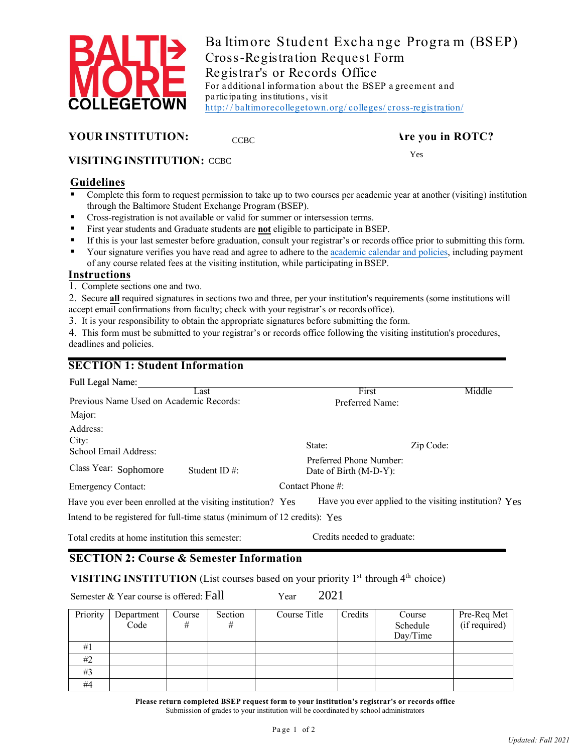

Ba ltimore Student Excha nge Progra m (BSEP) Cross-Registration Request Form Registra r's or Records Office For additional information about the BSEP a greement and pa rticipa ting institutions, visit [http:/ / baltimorecollegetown.org/ colleges/ cross-registra](http://baltimorecollegetown.org/colleges/cross-registration/) tion/

## **YOUR INSTITUTION:** Are you in ROTC?

#### **VISITING INSTITUTION:**  CCBC Yes

### **Guidelines**

- **Complete this form to request permission to take up to two courses per academic year at another (visiting) institution** through the Baltimore Student Exchange Program (BSEP).
- **Cross-registration is not available or valid for summer or intersession terms.**
- First year students and Graduate students are **not** eligible to participate in BSEP.

**CCBC** 

- If this is your last semester before graduation, consult your registrar's or records office prior to submitting this form.
- of any course related fees at the visiting institution, while participating in BSEP. Your signature verifies you have read and agree to adhere to th[e academic calendar](http://baltimorecollegetown.org/_template-assets/PDFs/Baltimore%20Student%20Exchange%20Program%20Agreement.pdf) and policies, including payment

### **Instructions**

1. Complete sections one and two.

 2. Secure **all** required signatures in sections two and three, per your institution's requirements (some institutions will accept email confirmations from faculty; check with your registrar's or records office).

3. It is your responsibility to obtain the appropriate signatures before submitting the form.

 4. This form must be submitted to your registrar's or records office following the visiting institution's procedures, deadlines and policies.

## **SECTION 1: Student Information**

| Have you ever applied to the visiting institution? Yes |
|--------------------------------------------------------|
|                                                        |
| Middle                                                 |

Total credits at home institution this semester: Credits needed to graduate:

# **SECTION 2: Course & Semester Information**

**VISITING INSTITUTION** (List courses based on your priority 1<sup>st</sup> through 4<sup>th</sup> choice)

Semester & Year course is offered: Fall Year

Fall 2021

| Priority | Department<br>Code | Course<br># | Section | Course Title | Credits | Course<br>Schedule | Pre-Req Met<br>(if required) |
|----------|--------------------|-------------|---------|--------------|---------|--------------------|------------------------------|
|          |                    |             |         |              |         | Day/Time           |                              |
| #1       |                    |             |         |              |         |                    |                              |
| #2       |                    |             |         |              |         |                    |                              |
| #3       |                    |             |         |              |         |                    |                              |
| #4       |                    |             |         |              |         |                    |                              |

**Please return completed BSEP request form to your institution's registrar's or records office**  Submission of grades to your institution will be coordinated by school administrators